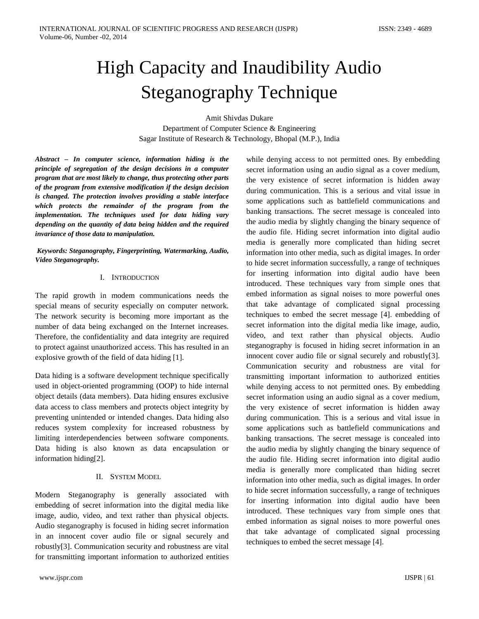# High Capacity and Inaudibility Audio Steganography Technique

Amit Shivdas Dukare Department of Computer Science & Engineering Sagar Institute of Research & Technology, Bhopal (M.P.), India

*Abstract – In computer science, information hiding is the principle of segregation of the design decisions in a computer program that are most likely to change, thus protecting other parts of the program from extensive modification if the design decision is changed. The protection involves providing a stable interface which protects the remainder of the program from the implementation. The techniques used for data hiding vary depending on the quantity of data being hidden and the required invariance of those data to manipulation.*

*Keywords: Steganography, Fingerprinting, Watermarking, Audio, Video Steganography.*

# I. INTRODUCTION

The rapid growth in modem communications needs the special means of security especially on computer network. The network security is becoming more important as the number of data being exchanged on the Internet increases. Therefore, the confidentiality and data integrity are required to protect against unauthorized access. This has resulted in an explosive growth of the field of data hiding [1].

Data hiding is a software development technique specifically used in object-oriented programming (OOP) to hide internal object details (data members). Data hiding ensures exclusive data access to class members and protects object integrity by preventing unintended or intended changes. Data hiding also reduces system complexity for increased robustness by limiting interdependencies between software components. Data hiding is also known as data encapsulation or information hiding[2].

# II. SYSTEM MODEL

Modern Steganography is generally associated with embedding of secret information into the digital media like image, audio, video, and text rather than physical objects. Audio steganography is focused in hiding secret information in an innocent cover audio file or signal securely and robustly[3]. Communication security and robustness are vital for transmitting important information to authorized entities

while denying access to not permitted ones. By embedding secret information using an audio signal as a cover medium, the very existence of secret information is hidden away during communication. This is a serious and vital issue in some applications such as battlefield communications and banking transactions. The secret message is concealed into the audio media by slightly changing the binary sequence of the audio file. Hiding secret information into digital audio media is generally more complicated than hiding secret information into other media, such as digital images. In order to hide secret information successfully, a range of techniques for inserting information into digital audio have been introduced. These techniques vary from simple ones that embed information as signal noises to more powerful ones that take advantage of complicated signal processing techniques to embed the secret message [4]. embedding of secret information into the digital media like image, audio, video, and text rather than physical objects. Audio steganography is focused in hiding secret information in an innocent cover audio file or signal securely and robustly[3]. Communication security and robustness are vital for transmitting important information to authorized entities while denying access to not permitted ones. By embedding secret information using an audio signal as a cover medium, the very existence of secret information is hidden away during communication. This is a serious and vital issue in some applications such as battlefield communications and banking transactions. The secret message is concealed into the audio media by slightly changing the binary sequence of the audio file. Hiding secret information into digital audio media is generally more complicated than hiding secret information into other media, such as digital images. In order to hide secret information successfully, a range of techniques for inserting information into digital audio have been introduced. These techniques vary from simple ones that embed information as signal noises to more powerful ones that take advantage of complicated signal processing techniques to embed the secret message [4].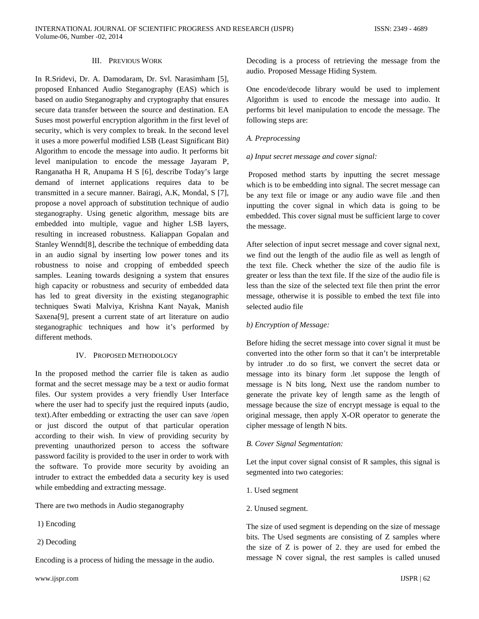## III. PREVIOUS WORK

In R.Sridevi, Dr. A. Damodaram, Dr. Svl. Narasimham [5], proposed Enhanced Audio Steganography (EAS) which is based on audio Steganography and cryptography that ensures secure data transfer between the source and destination. EA Suses most powerful encryption algorithm in the first level of security, which is very complex to break. In the second level it uses a more powerful modified LSB (Least Significant Bit) Algorithm to encode the message into audio. It performs bit level manipulation to encode the message Jayaram P, Ranganatha H R, Anupama H S [6], describe Today's large demand of internet applications requires data to be transmitted in a secure manner. Bairagi, A.K, Mondal, S [7], propose a novel approach of substitution technique of audio steganography. Using genetic algorithm, message bits are embedded into multiple, vague and higher LSB layers, resulting in increased robustness. Kaliappan Gopalan and Stanley Wenndt[8], describe the technique of embedding data in an audio signal by inserting low power tones and its robustness to noise and cropping of embedded speech samples. Leaning towards designing a system that ensures high capacity or robustness and security of embedded data has led to great diversity in the existing steganographic techniques Swati Malviya, Krishna Kant Nayak, Manish Saxena[9], present a current state of art literature on audio steganographic techniques and how it's performed by different methods.

#### IV. PROPOSED METHODOLOGY

In the proposed method the carrier file is taken as audio format and the secret message may be a text or audio format files. Our system provides a very friendly User Interface where the user had to specify just the required inputs (audio, text).After embedding or extracting the user can save /open or just discord the output of that particular operation according to their wish. In view of providing security by preventing unauthorized person to access the software password facility is provided to the user in order to work with the software. To provide more security by avoiding an intruder to extract the embedded data a security key is used while embedding and extracting message.

There are two methods in Audio steganography

- 1) Encoding
- 2) Decoding

Encoding is a process of hiding the message in the audio.

Decoding is a process of retrieving the message from the audio. Proposed Message Hiding System.

One encode/decode library would be used to implement Algorithm is used to encode the message into audio. It performs bit level manipulation to encode the message. The following steps are:

## *A. Preprocessing*

#### *a) Input secret message and cover signal:*

Proposed method starts by inputting the secret message which is to be embedding into signal. The secret message can be any text file or image or any audio wave file .and then inputting the cover signal in which data is going to be embedded. This cover signal must be sufficient large to cover the message.

After selection of input secret message and cover signal next, we find out the length of the audio file as well as length of the text file. Check whether the size of the audio file is greater or less than the text file. If the size of the audio file is less than the size of the selected text file then print the error message, otherwise it is possible to embed the text file into selected audio file

### *b) Encryption of Message:*

Before hiding the secret message into cover signal it must be converted into the other form so that it can't be interpretable by intruder .to do so first, we convert the secret data or message into its binary form .let suppose the length of message is N bits long, Next use the random number to generate the private key of length same as the length of message because the size of encrypt message is equal to the original message, then apply X-OR operator to generate the cipher message of length N bits.

## *B. Cover Signal Segmentation:*

Let the input cover signal consist of R samples, this signal is segmented into two categories:

- 1. Used segment
- 2. Unused segment.

The size of used segment is depending on the size of message bits. The Used segments are consisting of Z samples where the size of Z is power of 2. they are used for embed the message N cover signal, the rest samples is called unused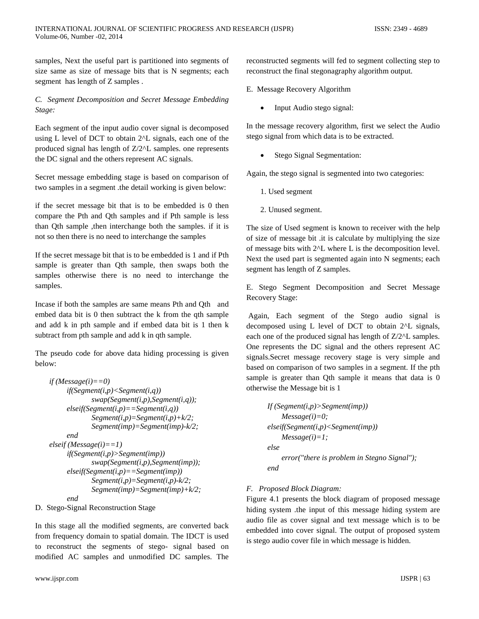samples, Next the useful part is partitioned into segments of size same as size of message bits that is N segments; each segment has length of Z samples .

# *C. Segment Decomposition and Secret Message Embedding Stage:*

Each segment of the input audio cover signal is decomposed using L level of DCT to obtain 2^L signals, each one of the produced signal has length of Z/2^L samples. one represents the DC signal and the others represent AC signals.

Secret message embedding stage is based on comparison of two samples in a segment .the detail working is given below:

if the secret message bit that is to be embedded is 0 then compare the Pth and Qth samples and if Pth sample is less than Qth sample ,then interchange both the samples. if it is not so then there is no need to interchange the samples

If the secret message bit that is to be embedded is 1 and if Pth sample is greater than Qth sample, then swaps both the samples otherwise there is no need to interchange the samples.

Incase if both the samples are same means Pth and Qth and embed data bit is 0 then subtract the k from the qth sample and add k in pth sample and if embed data bit is 1 then k subtract from pth sample and add k in qth sample.

The pseudo code for above data hiding processing is given below:

```
if (Message(i)=0)if(Segment(i,p)<Segment(i,q))
                swap(Segment(i,p),Segment(i,q));
         elseif(Segment(i,p)==Segment(i,q))
                Segment(i,p)=Segment(i,p)+k/2;
                Segment(imp)=Segment(imp)-k/2;
         end
    elseif (Message(i)==1)
         if(Segment(i,p)>Segment(imp))
                swap(Segment(i,p),Segment(imp));
         elseif(Segment(i,p)==Segment(imp))
                Segment(i,p)=Segment(i,p)-k/2;
                Segment(imp)=Segment(imp)+k/2;
         end
D. Stego-Signal Reconstruction Stage
```
In this stage all the modified segments, are converted back from frequency domain to spatial domain. The IDCT is used to reconstruct the segments of stego- signal based on modified AC samples and unmodified DC samples. The

reconstructed segments will fed to segment collecting step to reconstruct the final stegonagraphy algorithm output.

E. Message Recovery Algorithm

• Input Audio stego signal:

In the message recovery algorithm, first we select the Audio stego signal from which data is to be extracted.

Stego Signal Segmentation:

Again, the stego signal is segmented into two categories:

- 1. Used segment
- 2. Unused segment.

The size of Used segment is known to receiver with the help of size of message bit .it is calculate by multiplying the size of message bits with 2^L where L is the decomposition level. Next the used part is segmented again into N segments; each segment has length of Z samples.

E. Stego Segment Decomposition and Secret Message Recovery Stage:

Again, Each segment of the Stego audio signal is decomposed using L level of DCT to obtain 2^L signals, each one of the produced signal has length of Z/2^L samples. One represents the DC signal and the others represent AC signals.Secret message recovery stage is very simple and based on comparison of two samples in a segment. If the pth sample is greater than Qth sample it means that data is 0 otherwise the Message bit is 1

```
If (Segment(i,p)>Segment(imp))
    Message(i)=0;
elseif(Segment(i,p)<Segment(imp))
    Message(i)=1;
else
    error("there is problem in Stegno Signal");
end
```
# *F. Proposed Block Diagram:*

Figure 4.1 presents the block diagram of proposed message hiding system .the input of this message hiding system are audio file as cover signal and text message which is to be embedded into cover signal. The output of proposed system is stego audio cover file in which message is hidden.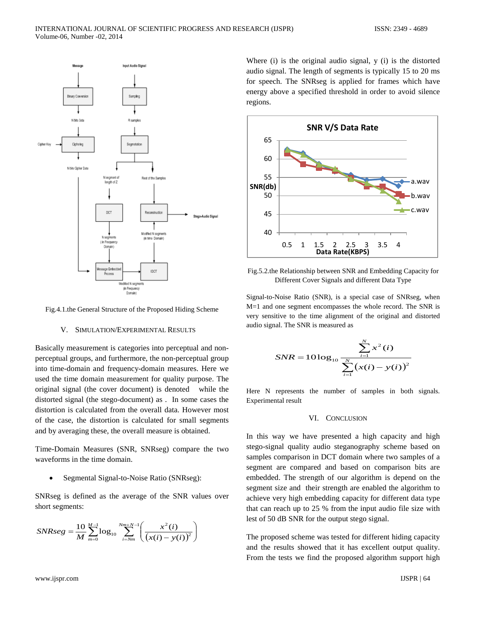

Fig.4.1.the General Structure of the Proposed Hiding Scheme

#### V. SIMULATION/EXPERIMENTAL RESULTS

Basically measurement is categories into perceptual and nonperceptual groups, and furthermore, the non-perceptual group into time-domain and frequency-domain measures. Here we used the time domain measurement for quality purpose. The original signal (the cover document) is denoted while the distorted signal (the stego-document) as . In some cases the distortion is calculated from the overall data. However most of the case, the distortion is calculated for small segments and by averaging these, the overall measure is obtained.

Time-Domain Measures (SNR, SNRseg) compare the two waveforms in the time domain.

• Segmental Signal-to-Noise Ratio (SNRseg):

SNRseg is defined as the average of the SNR values over short segments:

$$
SNRseg = \frac{10}{M} \sum_{m=0}^{M-1} \log_{10} \sum_{i=Nm}^{Nm+N-1} \left( \frac{x^2(i)}{(x(i)-y(i))^2} \right)
$$

Where (i) is the original audio signal, y (i) is the distorted audio signal. The length of segments is typically 15 to 20 ms for speech. The SNRseg is applied for frames which have energy above a specified threshold in order to avoid silence regions.



Fig.5.2.the Relationship between SNR and Embedding Capacity for Different Cover Signals and different Data Type

Signal-to-Noise Ratio (SNR), is a special case of SNRseg, when M=1 and one segment encompasses the whole record. The SNR is very sensitive to the time alignment of the original and distorted audio signal. The SNR is measured as

$$
SNR = 10 \log_{10} \frac{\sum_{i=1}^{N} x^2(i)}{\sum_{i=1}^{N} (x(i) - y(i))^2}
$$

Here N represents the number of samples in both signals. Experimental result

#### VI. CONCLUSION

In this way we have presented a high capacity and high stego-signal quality audio steganography scheme based on samples comparison in DCT domain where two samples of a segment are compared and based on comparison bits are embedded. The strength of our algorithm is depend on the segment size and their strength are enabled the algorithm to achieve very high embedding capacity for different data type that can reach up to 25 % from the input audio file size with lest of 50 dB SNR for the output stego signal.

The proposed scheme was tested for different hiding capacity and the results showed that it has excellent output quality. From the tests we find the proposed algorithm support high